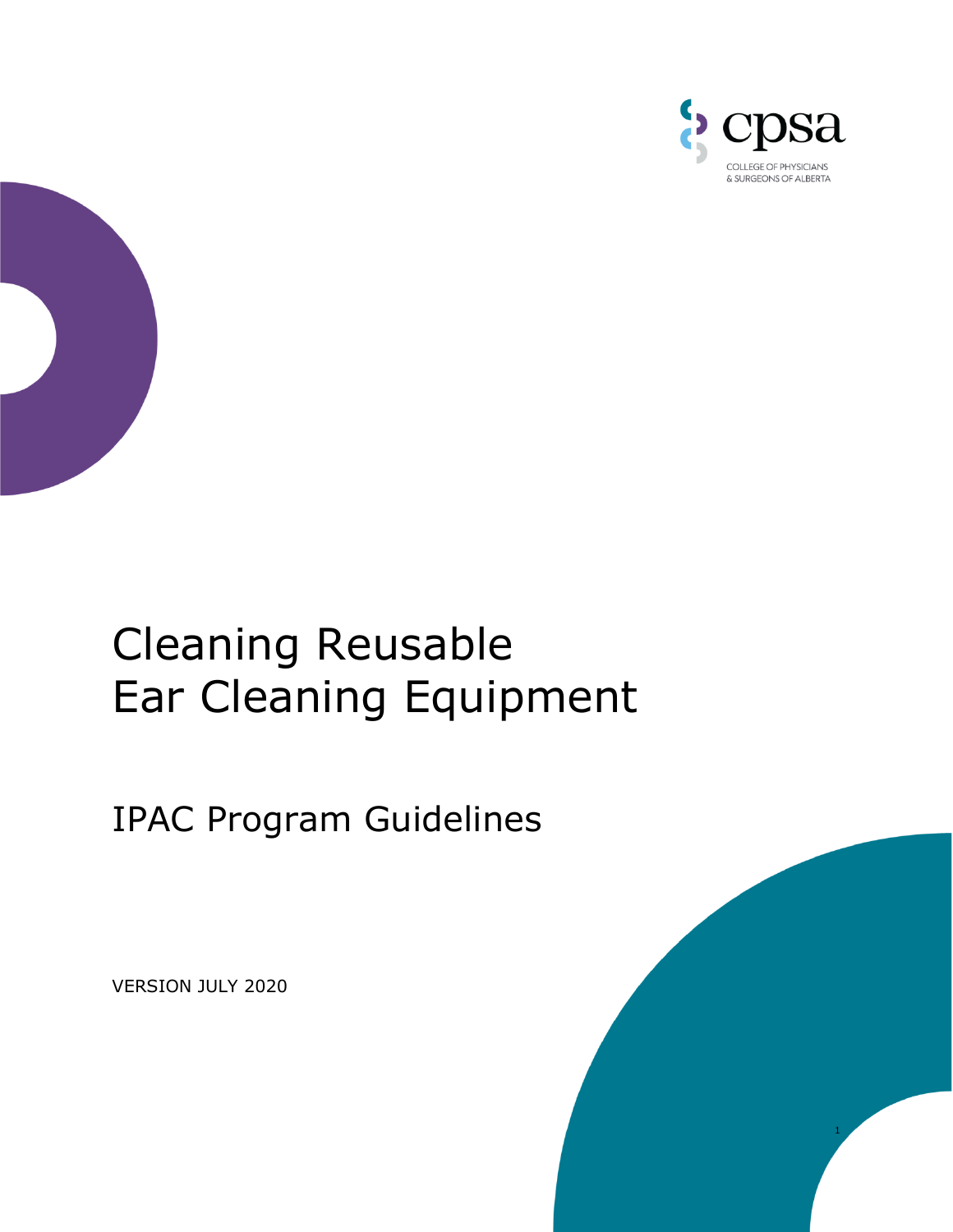



## Cleaning Reusable Ear Cleaning Equipment

IPAC Program Guidelines

VERSION JULY 2020

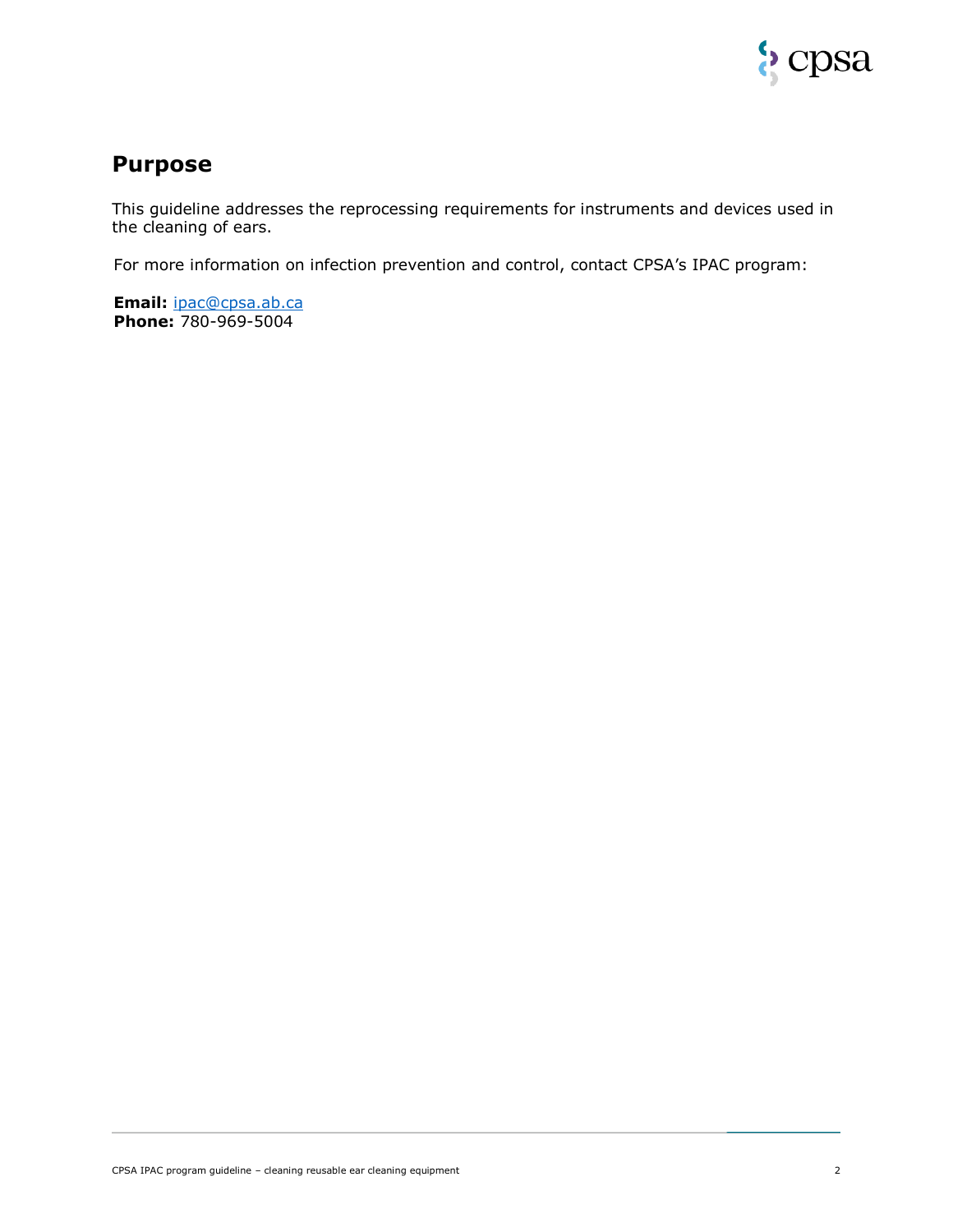

## **Purpose**

This guideline addresses the reprocessing requirements for instruments and devices used in the cleaning of ears.

For more information on infection prevention and control, contact CPSA's IPAC program:

**Email:** [ipac@cpsa.ab.ca](mailto:ipac@cpsa.ab.ca) **Phone:** 780-969-5004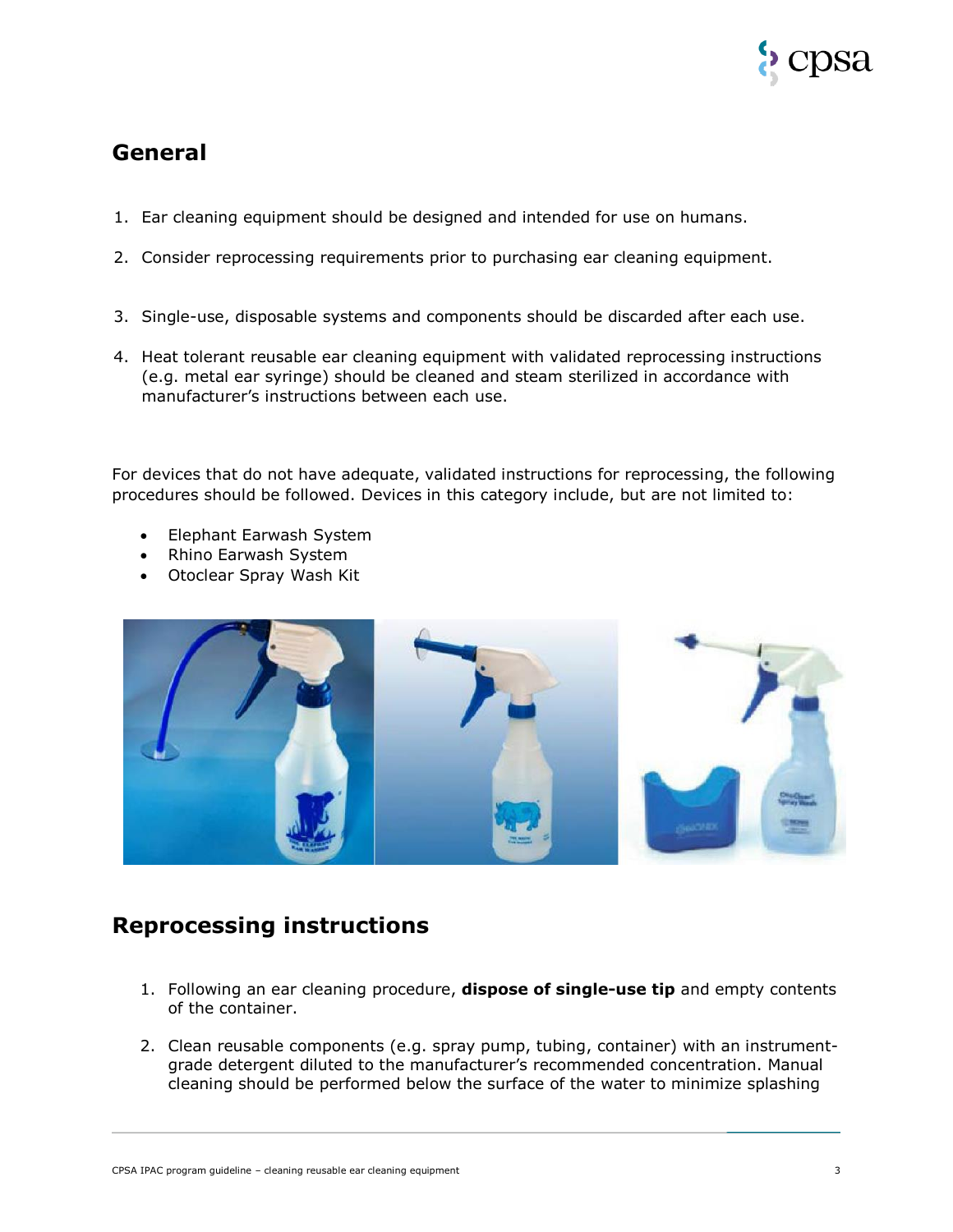

## **General**

- 1. Ear cleaning equipment should be designed and intended for use on humans.
- 2. Consider reprocessing requirements prior to purchasing ear cleaning equipment.
- 3. Single-use, disposable systems and components should be discarded after each use.
- 4. Heat tolerant reusable ear cleaning equipment with validated reprocessing instructions (e.g. metal ear syringe) should be cleaned and steam sterilized in accordance with manufacturer's instructions between each use.

For devices that do not have adequate, validated instructions for reprocessing, the following procedures should be followed. Devices in this category include, but are not limited to:

- Elephant Earwash System
- Rhino Earwash System
- Otoclear Spray Wash Kit



## **Reprocessing instructions**

- 1. Following an ear cleaning procedure, **dispose of single-use tip** and empty contents of the container.
- 2. Clean reusable components (e.g. spray pump, tubing, container) with an instrumentgrade detergent diluted to the manufacturer's recommended concentration. Manual cleaning should be performed below the surface of the water to minimize splashing